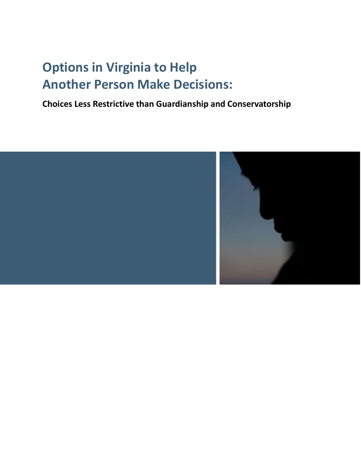# **Options in Virginia to Help Another Person Make Decisions:**

**Choices Less Restrictive than Guardianship and Conservatorship**

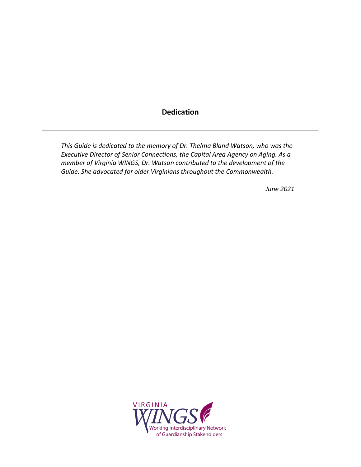# **Dedication**

<span id="page-1-0"></span>*This Guide is dedicated to the memory of Dr. Thelma Bland Watson, who was the Executive Director of Senior Connections, the Capital Area Agency on Aging. As a member of Virginia WINGS, Dr. Watson contributed to the development of the Guide. She advocated for older Virginians throughout the Commonwealth.*

*June 2021*

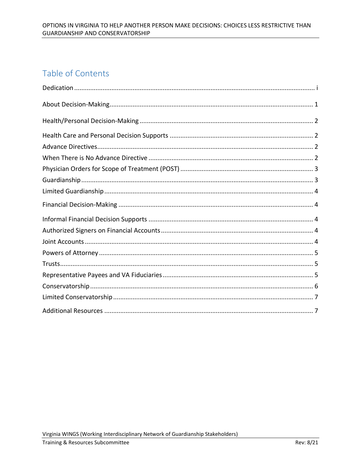# Table of Contents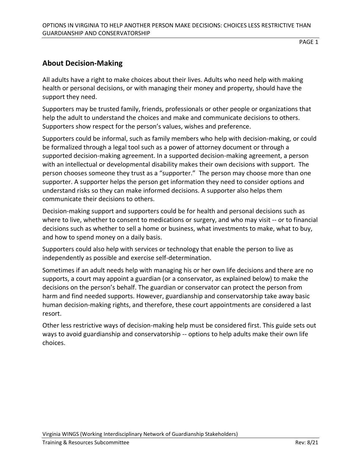# <span id="page-3-0"></span>**About Decision-Making**

All adults have a right to make choices about their lives. Adults who need help with making health or personal decisions, or with managing their money and property, should have the support they need.

Supporters may be trusted family, friends, professionals or other people or organizations that help the adult to understand the choices and make and communicate decisions to others. Supporters show respect for the person's values, wishes and preference.

Supporters could be informal, such as family members who help with decision-making, or could be formalized through a legal tool such as a power of attorney document or through a supported decision-making agreement. In a supported decision-making agreement, a person with an intellectual or developmental disability makes their own decisions with support. The person chooses someone they trust as a "supporter." The person may choose more than one supporter. A supporter helps the person get information they need to consider options and understand risks so they can make informed decisions. A supporter also helps them communicate their decisions to others.

Decision-making support and supporters could be for health and personal decisions such as where to live, whether to consent to medications or surgery, and who may visit -- or to financial decisions such as whether to sell a home or business, what investments to make, what to buy, and how to spend money on a daily basis.

Supporters could also help with services or technology that enable the person to live as independently as possible and exercise self-determination.

Sometimes if an adult needs help with managing his or her own life decisions and there are no supports, a court may appoint a guardian (or a conservator, as explained below) to make the decisions on the person's behalf. The guardian or conservator can protect the person from harm and find needed supports. However, guardianship and conservatorship take away basic human decision-making rights, and therefore, these court appointments are considered a last resort.

Other less restrictive ways of decision-making help must be considered first. This guide sets out ways to avoid guardianship and conservatorship -- options to help adults make their own life choices.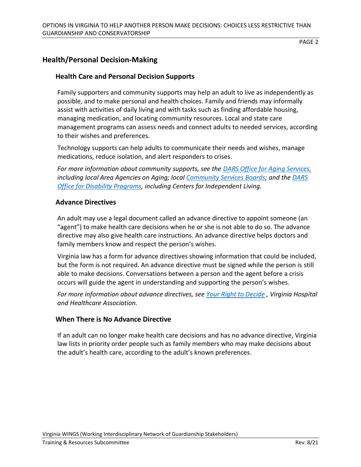# <span id="page-4-0"></span>**Health/Personal Decision-Making**

#### <span id="page-4-1"></span>**Health Care and Personal Decision Supports**

Family supporters and community supports may help an adult to live as independently as possible, and to make personal and health choices. Family and friends may informally assist with activities of daily living and with tasks such as finding affordable housing, managing medication, and locating community resources. Local and state care management programs can assess needs and connect adults to needed services, according to their wishes and preferences.

Technology supports can help adults to communicate their needs and wishes, manage medications, reduce isolation, and alert responders to crises.

*For more information about community supports, see the [DARS Office for Aging Services,](https://vda.virginia.gov/) including local Area Agencies on Aging; local [Community Services Boards;](https://vacsb.org/) and th[e DARS](https://www.vadars.org/cbs/cils.htm)  [Office for Disability Programs,](https://www.vadars.org/cbs/cils.htm) including Centers for Independent Living.* 

#### <span id="page-4-2"></span>**Advance Directives**

An adult may use a legal document called an advance directive to appoint someone (an "agent") to make health care decisions when he or she is not able to do so. The advance directive may also give health care instructions. An advance directive helps doctors and family members know and respect the person's wishes.

Virginia law has a form for advance directives showing information that could be included, but the form is not required. An advance directive must be signed while the person is still able to make decisions. Conversations between a person and the agent before a crisis occurs will guide the agent in understanding and supporting the person's wishes.

*For more information about advance directives, see [Your Right to Decide](http://www.vhha.com/resources/wp-content/uploads/sites/17/2018/09/YRTD-English-Updated-8-18.pdf) , Virginia Hospital and Healthcare Association.*

#### <span id="page-4-3"></span>**When There is No Advance Directive**

If an adult can no longer make health care decisions and has no advance directive, Virginia law lists in priority order people such as family members who may make decisions about the adult's health care, according to the adult's known preferences.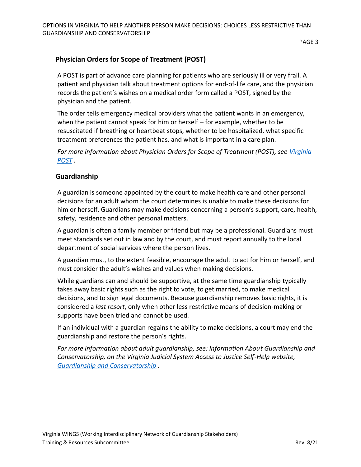# <span id="page-5-0"></span>**Physician Orders for Scope of Treatment (POST)**

A POST is part of advance care planning for patients who are seriously ill or very frail. A patient and physician talk about treatment options for end-of-life care, and the physician records the patient's wishes on a medical order form called a POST, signed by the physician and the patient.

The order tells emergency medical providers what the patient wants in an emergency, when the patient cannot speak for him or herself – for example, whether to be resuscitated if breathing or heartbeat stops, whether to be hospitalized, what specific treatment preferences the patient has, and what is important in a care plan.

*For more information about Physician Orders for Scope of Treatment (POST), see [Virginia](https://www.virginiapost.org/)  [POST](https://www.virginiapost.org/) .*

#### <span id="page-5-1"></span>**Guardianship**

A guardian is someone appointed by the court to make health care and other personal decisions for an adult whom the court determines is unable to make these decisions for him or herself. Guardians may make decisions concerning a person's support, care, health, safety, residence and other personal matters.

A guardian is often a family member or friend but may be a professional. Guardians must meet standards set out in law and by the court, and must report annually to the local department of social services where the person lives.

A guardian must, to the extent feasible, encourage the adult to act for him or herself, and must consider the adult's wishes and values when making decisions.

While guardians can and should be supportive, at the same time guardianship typically takes away basic rights such as the right to vote, to get married, to make medical decisions, and to sign legal documents. Because guardianship removes basic rights, it is considered a *last resort*, only when other less restrictive means of decision-making or supports have been tried and cannot be used.

If an individual with a guardian regains the ability to make decisions, a court may end the guardianship and restore the person's rights.

*For more information about adult guardianship, see: Information About Guardianship and Conservatorship, on the Virginia Judicial System Access to Justice Self-Help website, [Guardianship and Conservatorship](https://selfhelp.vacourts.gov/topics/17/guardianship-conservatorship) .*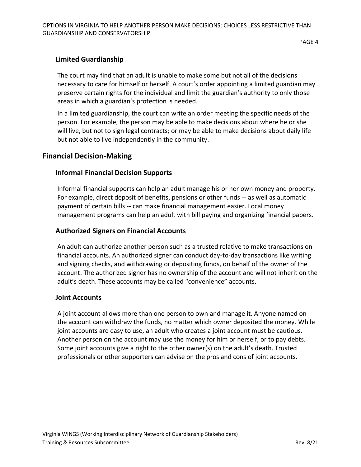#### <span id="page-6-0"></span>**Limited Guardianship**

The court may find that an adult is unable to make some but not all of the decisions necessary to care for himself or herself. A court's order appointing a limited guardian may preserve certain rights for the individual and limit the guardian's authority to only those areas in which a guardian's protection is needed.

In a limited guardianship, the court can write an order meeting the specific needs of the person. For example, the person may be able to make decisions about where he or she will live, but not to sign legal contracts; or may be able to make decisions about daily life but not able to live independently in the community.

#### <span id="page-6-1"></span>**Financial Decision-Making**

#### <span id="page-6-2"></span>**Informal Financial Decision Supports**

Informal financial supports can help an adult manage his or her own money and property. For example, direct deposit of benefits, pensions or other funds -- as well as automatic payment of certain bills -- can make financial management easier. Local money management programs can help an adult with bill paying and organizing financial papers.

#### <span id="page-6-3"></span>**Authorized Signers on Financial Accounts**

An adult can authorize another person such as a trusted relative to make transactions on financial accounts. An authorized signer can conduct day-to-day transactions like writing and signing checks, and withdrawing or depositing funds, on behalf of the owner of the account. The authorized signer has no ownership of the account and will not inherit on the adult's death. These accounts may be called "convenience" accounts.

#### <span id="page-6-4"></span>**Joint Accounts**

A joint account allows more than one person to own and manage it. Anyone named on the account can withdraw the funds, no matter which owner deposited the money. While joint accounts are easy to use, an adult who creates a joint account must be cautious. Another person on the account may use the money for him or herself, or to pay debts. Some joint accounts give a right to the other owner(s) on the adult's death. Trusted professionals or other supporters can advise on the pros and cons of joint accounts.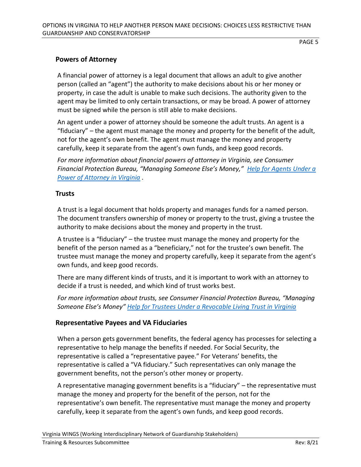#### <span id="page-7-0"></span>**Powers of Attorney**

A financial power of attorney is a legal document that allows an adult to give another person (called an "agent") the authority to make decisions about his or her money or property, in case the adult is unable to make such decisions. The authority given to the agent may be limited to only certain transactions, or may be broad. A power of attorney must be signed while the person is still able to make decisions.

An agent under a power of attorney should be someone the adult trusts. An agent is a "fiduciary" – the agent must manage the money and property for the benefit of the adult, not for the agent's own benefit. The agent must manage the money and property carefully, keep it separate from the agent's own funds, and keep good records.

*For more information about financial powers of attorney in Virginia, see Consumer Financial Protection Bureau, "Managing Someone Else's Money," [Help for Agents Under a](https://files.consumerfinance.gov/f/201508_cfpb_mesm-help-for-agents-under-power-of-attorney-in-virginia.pdf)  [Power of Attorney in Virginia](https://files.consumerfinance.gov/f/201508_cfpb_mesm-help-for-agents-under-power-of-attorney-in-virginia.pdf) .*

#### <span id="page-7-1"></span>**Trusts**

A trust is a legal document that holds property and manages funds for a named person. The document transfers ownership of money or property to the trust, giving a trustee the authority to make decisions about the money and property in the trust.

A trustee is a "fiduciary" – the trustee must manage the money and property for the benefit of the person named as a "beneficiary," not for the trustee's own benefit. The trustee must manage the money and property carefully, keep it separate from the agent's own funds, and keep good records.

There are many different kinds of trusts, and it is important to work with an attorney to decide if a trust is needed, and which kind of trust works best.

*For more information about trusts, see Consumer Financial Protection Bureau, "Managing Someone Else's Money" [Help for Trustees Under a Revocable Living Trust in Virginia](https://files.consumerfinance.gov/f/201508_cfpb_mesm-help-for-trustees-under-a-revocable-living-trust-in-virginia.pdf)*

#### <span id="page-7-2"></span>**Representative Payees and VA Fiduciaries**

When a person gets government benefits, the federal agency has processes for selecting a representative to help manage the benefits if needed. For Social Security, the representative is called a "representative payee." For Veterans' benefits, the representative is called a "VA fiduciary." Such representatives can only manage the government benefits, not the person's other money or property.

A representative managing government benefits is a "fiduciary" – the representative must manage the money and property for the benefit of the person, not for the representative's own benefit. The representative must manage the money and property carefully, keep it separate from the agent's own funds, and keep good records.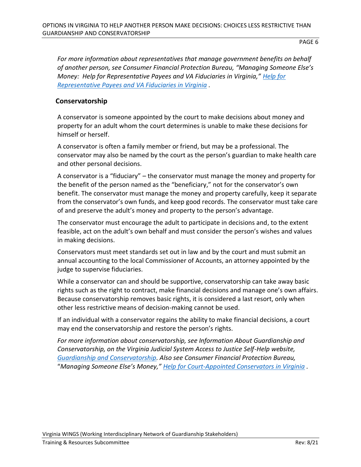*For more information about representatives that manage government benefits on behalf of another person, see Consumer Financial Protection Bureau, "Managing Someone Else's Money: Help for Representative Payees and VA Fiduciaries in Virginia," [Help for](https://files.consumerfinance.gov/f/201508_cfpb_mesm-help-for-representative-payees-and-va-fiduciaries-in-virginia.pdf)  [Representative Payees and VA Fiduciaries in Virginia](https://files.consumerfinance.gov/f/201508_cfpb_mesm-help-for-representative-payees-and-va-fiduciaries-in-virginia.pdf) .*

#### <span id="page-8-0"></span>**Conservatorship**

A conservator is someone appointed by the court to make decisions about money and property for an adult whom the court determines is unable to make these decisions for himself or herself.

A conservator is often a family member or friend, but may be a professional. The conservator may also be named by the court as the person's guardian to make health care and other personal decisions.

A conservator is a "fiduciary" – the conservator must manage the money and property for the benefit of the person named as the "beneficiary," not for the conservator's own benefit. The conservator must manage the money and property carefully, keep it separate from the conservator's own funds, and keep good records. The conservator must take care of and preserve the adult's money and property to the person's advantage.

The conservator must encourage the adult to participate in decisions and, to the extent feasible, act on the adult's own behalf and must consider the person's wishes and values in making decisions.

Conservators must meet standards set out in law and by the court and must submit an annual accounting to the local Commissioner of Accounts, an attorney appointed by the judge to supervise fiduciaries.

While a conservator can and should be supportive, conservatorship can take away basic rights such as the right to contract, make financial decisions and manage one's own affairs. Because conservatorship removes basic rights, it is considered a last resort, only when other less restrictive means of decision-making cannot be used.

If an individual with a conservator regains the ability to make financial decisions, a court may end the conservatorship and restore the person's rights.

*For more information about conservatorship, see Information About Guardianship and Conservatorship, on the Virginia Judicial System Access to Justice Self-Help website, [Guardianship and Conservatorship.](https://selfhelp.vacourts.gov/topics/17/guardianship-conservatorship) Also see Consumer Financial Protection Bureau,* "*Managing Someone Else's Money," [Help for Court-Appointed Conservators in Virginia](https://files.consumerfinance.gov/f/201508_cfpb_mesm-help-for-court-appointed-conservators-in-virginia.pdf) .*